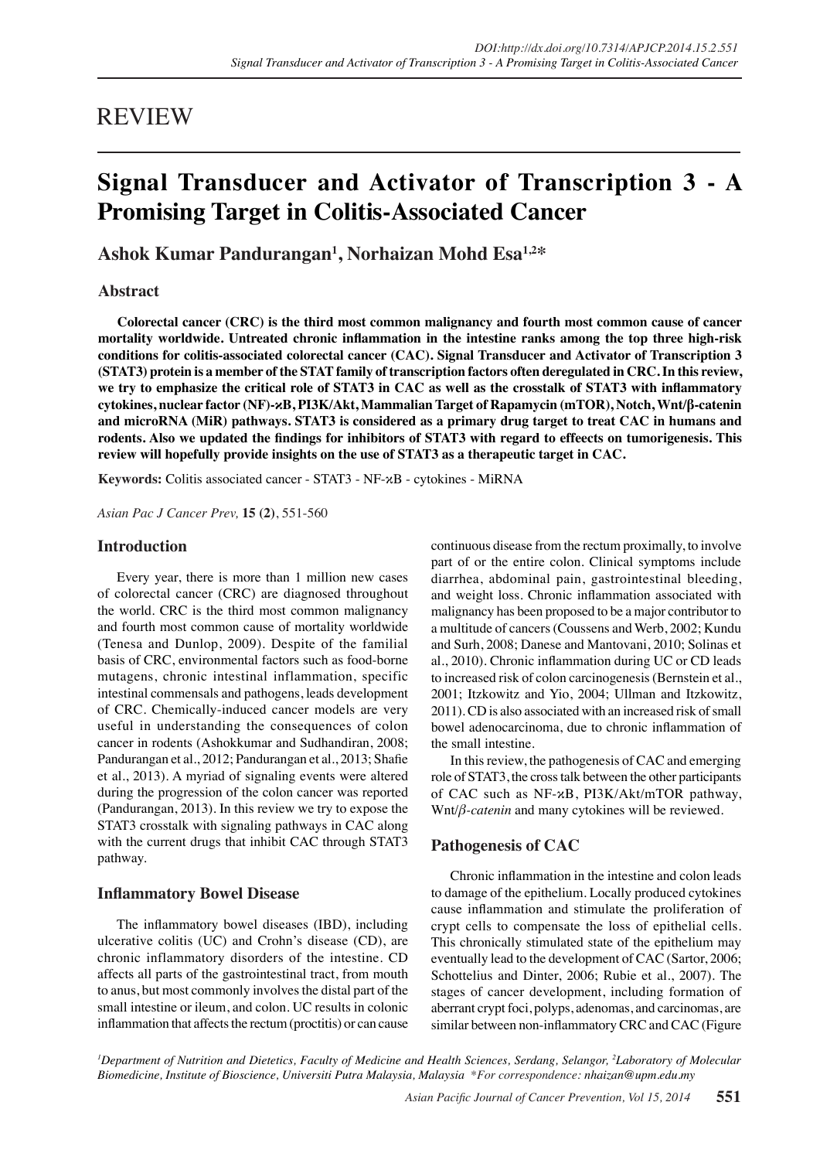# REVIEW

# **Signal Transducer and Activator of Transcription 3 - A Promising Target in Colitis-Associated Cancer**

**Ashok Kumar Pandurangan<sup>1</sup> , Norhaizan Mohd Esa1,2\***

**Abstract**

**Colorectal cancer (CRC) is the third most common malignancy and fourth most common cause of cancer mortality worldwide. Untreated chronic inflammation in the intestine ranks among the top three high-risk conditions for colitis-associated colorectal cancer (CAC). Signal Transducer and Activator of Transcription 3 (STAT3) protein is a member of the STAT family of transcription factors often deregulated in CRC. In this review, we try to emphasize the critical role of STAT3 in CAC as well as the crosstalk of STAT3 with inflammatory cytokines, nuclear factor (NF)-κB, PI3K/Akt, Mammalian Target of Rapamycin (mTOR), Notch, Wnt/β-catenin and microRNA (MiR) pathways. STAT3 is considered as a primary drug target to treat CAC in humans and rodents. Also we updated the findings for inhibitors of STAT3 with regard to effeects on tumorigenesis. This review will hopefully provide insights on the use of STAT3 as a therapeutic target in CAC.**

**Keywords:** Colitis associated cancer - STAT3 - NF-κB - cytokines - MiRNA

*Asian Pac J Cancer Prev,* **15 (2)**, 551-560

## **Introduction**

Every year, there is more than 1 million new cases of colorectal cancer (CRC) are diagnosed throughout the world. CRC is the third most common malignancy and fourth most common cause of mortality worldwide (Tenesa and Dunlop, 2009). Despite of the familial basis of CRC, environmental factors such as food-borne mutagens, chronic intestinal inflammation, specific intestinal commensals and pathogens, leads development of CRC. Chemically-induced cancer models are very useful in understanding the consequences of colon cancer in rodents (Ashokkumar and Sudhandiran, 2008; Pandurangan et al., 2012; Pandurangan et al., 2013; Shafie et al., 2013). A myriad of signaling events were altered during the progression of the colon cancer was reported (Pandurangan, 2013). In this review we try to expose the STAT3 crosstalk with signaling pathways in CAC along with the current drugs that inhibit CAC through STAT3 pathway.

## **Inflammatory Bowel Disease**

The inflammatory bowel diseases (IBD), including ulcerative colitis (UC) and Crohn's disease (CD), are chronic inflammatory disorders of the intestine. CD affects all parts of the gastrointestinal tract, from mouth to anus, but most commonly involves the distal part of the small intestine or ileum, and colon. UC results in colonic inflammation that affects the rectum (proctitis) or can cause continuous disease from the rectum proximally, to involve part of or the entire colon. Clinical symptoms include diarrhea, abdominal pain, gastrointestinal bleeding, and weight loss. Chronic inflammation associated with malignancy has been proposed to be a major contributor to a multitude of cancers (Coussens and Werb, 2002; Kundu and Surh, 2008; Danese and Mantovani, 2010; Solinas et al., 2010). Chronic inflammation during UC or CD leads to increased risk of colon carcinogenesis (Bernstein et al., 2001; Itzkowitz and Yio, 2004; Ullman and Itzkowitz, 2011). CD is also associated with an increased risk of small bowel adenocarcinoma, due to chronic inflammation of the small intestine.

In this review, the pathogenesis of CAC and emerging role of STAT3, the cross talk between the other participants of CAC such as NF-κB, PI3K/Akt/mTOR pathway, Wnt/*β-catenin* and many cytokines will be reviewed.

# **Pathogenesis of CAC**

Chronic inflammation in the intestine and colon leads to damage of the epithelium. Locally produced cytokines cause inflammation and stimulate the proliferation of crypt cells to compensate the loss of epithelial cells. This chronically stimulated state of the epithelium may eventually lead to the development of CAC (Sartor, 2006; Schottelius and Dinter, 2006; Rubie et al., 2007). The stages of cancer development, including formation of aberrant crypt foci, polyps, adenomas, and carcinomas, are similar between non-inflammatory CRC and CAC (Figure

*1 Department of Nutrition and Dietetics, Faculty of Medicine and Health Sciences, Serdang, Selangor, 2 Laboratory of Molecular Biomedicine, Institute of Bioscience, Universiti Putra Malaysia, Malaysia \*For correspondence: nhaizan@upm.edu.my*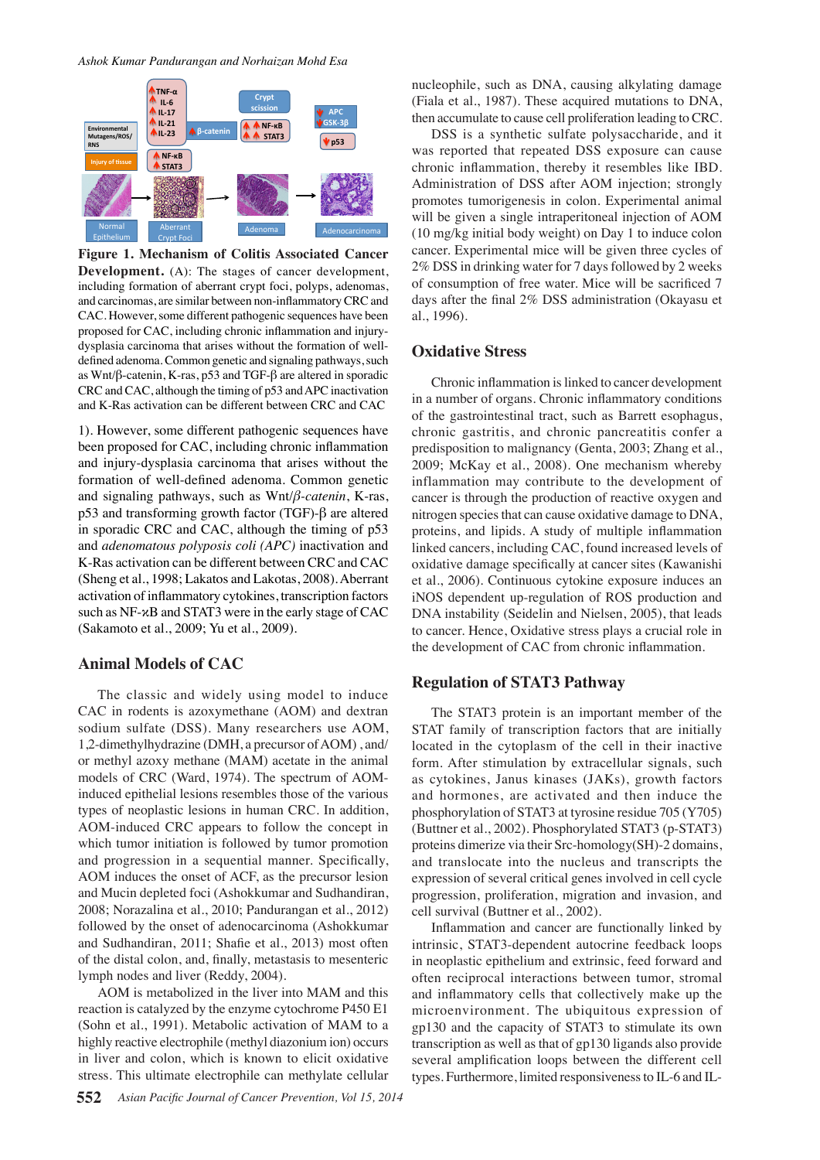

**Figure 1. Mechanism of Colitis Associated Cancer Development.** (A): The stages of cancer development, including formation of aberrant crypt foci, polyps, adenomas, and carcinomas, are similar between non-inflammatory CRC and CAC. However, some different pathogenic sequences have been proposed for CAC, including chronic inflammation and injurydysplasia carcinoma that arises without the formation of welldefined adenoma. Common genetic and signaling pathways, such as Wnt/β-catenin, K-ras, p53 and TGF-β are altered in sporadic CRC and CAC, although the timing of p53 and APC inactivation and K-Ras activation can be different between CRC and CAC

1). However, some different pathogenic sequences have been proposed for CAC, including chronic inflammation and injury-dysplasia carcinoma that arises without the formation of well-defined adenoma. Common genetic and signaling pathways, such as Wnt/*β-catenin*, K-ras, p53 and transforming growth factor (TGF)-β are altered in sporadic CRC and CAC, although the timing of p53 and *adenomatous polyposis coli (APC)* inactivation and K-Ras activation can be different between CRC and CAC (Sheng et al., 1998; Lakatos and Lakotas, 2008). Aberrant activation of inflammatory cytokines, transcription factors such as NF-κB and STAT3 were in the early stage of CAC (Sakamoto et al., 2009; Yu et al., 2009).

## **Animal Models of CAC**

The classic and widely using model to induce CAC in rodents is azoxymethane (AOM) and dextran sodium sulfate (DSS). Many researchers use AOM, 1,2-dimethylhydrazine (DMH, a precursor of AOM) , and/ or methyl azoxy methane (MAM) acetate in the animal models of CRC (Ward, 1974). The spectrum of AOMinduced epithelial lesions resembles those of the various types of neoplastic lesions in human CRC. In addition, AOM-induced CRC appears to follow the concept in which tumor initiation is followed by tumor promotion and progression in a sequential manner. Specifically, AOM induces the onset of ACF, as the precursor lesion and Mucin depleted foci (Ashokkumar and Sudhandiran, 2008; Norazalina et al., 2010; Pandurangan et al., 2012) followed by the onset of adenocarcinoma (Ashokkumar and Sudhandiran, 2011; Shafie et al., 2013) most often of the distal colon, and, finally, metastasis to mesenteric lymph nodes and liver (Reddy, 2004).

AOM is metabolized in the liver into MAM and this reaction is catalyzed by the enzyme cytochrome P450 E1 (Sohn et al., 1991). Metabolic activation of MAM to a highly reactive electrophile (methyl diazonium ion) occurs in liver and colon, which is known to elicit oxidative stress. This ultimate electrophile can methylate cellular

nucleophile, such as DNA, causing alkylating damage (Fiala et al., 1987). These acquired mutations to DNA, then accumulate to cause cell proliferation leading to CRC.

DSS is a synthetic sulfate polysaccharide, and it was reported that repeated DSS exposure can cause chronic inflammation, thereby it resembles like IBD. Administration of DSS after AOM injection; strongly promotes tumorigenesis in colon. Experimental animal will be given a single intraperitoneal injection of AOM (10 mg/kg initial body weight) on Day 1 to induce colon cancer. Experimental mice will be given three cycles of 2% DSS in drinking water for 7 days followed by 2 weeks of consumption of free water. Mice will be sacrificed 7 days after the final 2% DSS administration (Okayasu et al., 1996).

## **Oxidative Stress**

Chronic inflammation is linked to cancer development in a number of organs. Chronic inflammatory conditions of the gastrointestinal tract, such as Barrett esophagus, chronic gastritis, and chronic pancreatitis confer a predisposition to malignancy (Genta, 2003; Zhang et al., 2009; McKay et al., 2008). One mechanism whereby inflammation may contribute to the development of cancer is through the production of reactive oxygen and nitrogen species that can cause oxidative damage to DNA, proteins, and lipids. A study of multiple inflammation linked cancers, including CAC, found increased levels of oxidative damage specifically at cancer sites (Kawanishi et al., 2006). Continuous cytokine exposure induces an iNOS dependent up-regulation of ROS production and DNA instability (Seidelin and Nielsen, 2005), that leads to cancer. Hence, Oxidative stress plays a crucial role in the development of CAC from chronic inflammation.

#### **Regulation of STAT3 Pathway**

The STAT3 protein is an important member of the STAT family of transcription factors that are initially located in the cytoplasm of the cell in their inactive form. After stimulation by extracellular signals, such as cytokines, Janus kinases (JAKs), growth factors and hormones, are activated and then induce the phosphorylation of STAT3 at tyrosine residue 705 (Y705) (Buttner et al., 2002). Phosphorylated STAT3 (p-STAT3) proteins dimerize via their Src-homology(SH)-2 domains, and translocate into the nucleus and transcripts the expression of several critical genes involved in cell cycle progression, proliferation, migration and invasion, and cell survival (Buttner et al., 2002).

Inflammation and cancer are functionally linked by intrinsic, STAT3-dependent autocrine feedback loops in neoplastic epithelium and extrinsic, feed forward and often reciprocal interactions between tumor, stromal and inflammatory cells that collectively make up the microenvironment. The ubiquitous expression of gp130 and the capacity of STAT3 to stimulate its own transcription as well as that of gp130 ligands also provide several amplification loops between the different cell types. Furthermore, limited responsiveness to IL-6 and IL-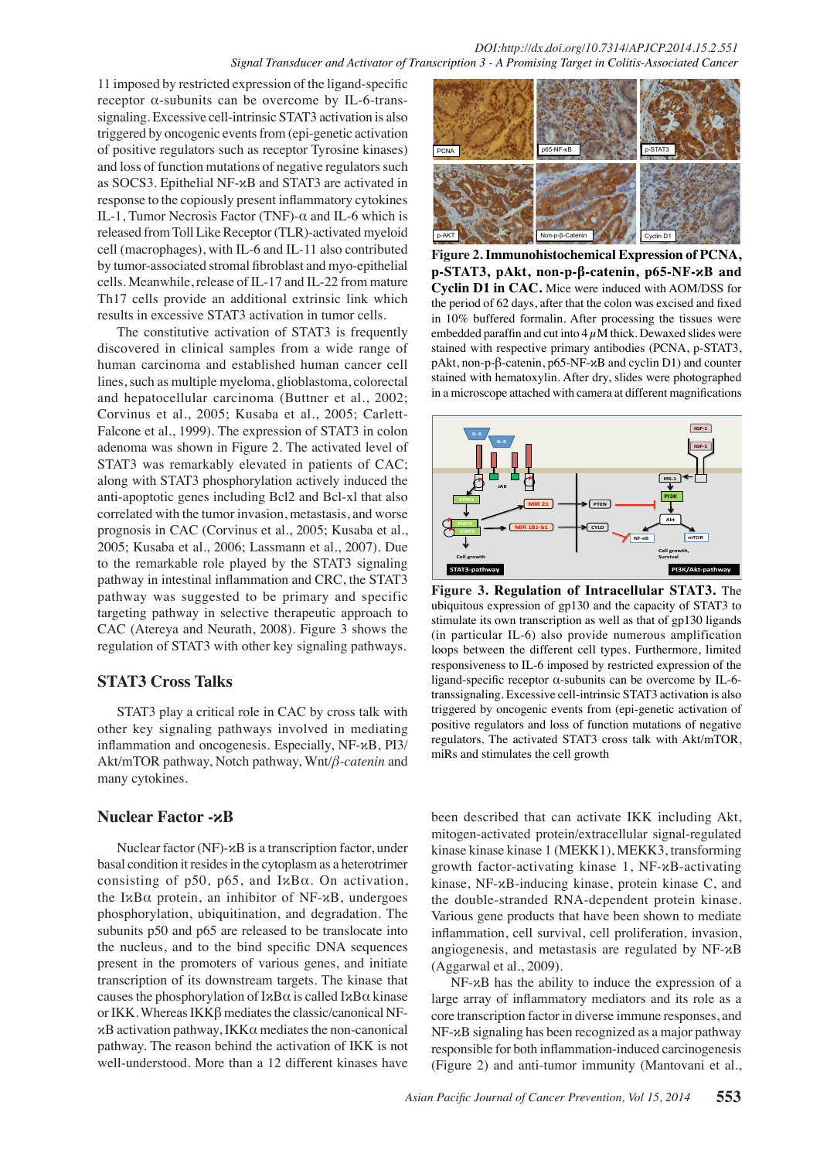11 imposed by restricted expression of the ligand-specific receptor α-subunits can be overcome by IL-6-transsignaling. Excessive cell-intrinsic STAT3 activation is also triggered by oncogenic events from (epi-genetic activation of positive regulators such as receptor Tyrosine kinases) and loss of function mutations of negative regulators such as SOCS3. Epithelial NF-κB and STAT3 are activated in response to the copiously present inflammatory cytokines IL-1, Tumor Necrosis Factor (TNF)-α and IL-6 which is released from Toll Like Receptor (TLR)-activated myeloid cell (macrophages), with IL-6 and IL-11 also contributed by tumor-associated stromal fibroblast and myo-epithelial cells. Meanwhile, release of IL-17 and IL-22 from mature Th17 cells provide an additional extrinsic link which results in excessive STAT3 activation in tumor cells.

The constitutive activation of STAT3 is frequently discovered in clinical samples from a wide range of human carcinoma and established human cancer cell lines, such as multiple myeloma, glioblastoma, colorectal and hepatocellular carcinoma (Buttner et al., 2002; Corvinus et al., 2005; Kusaba et al., 2005; Carlett-Falcone et al., 1999). The expression of STAT3 in colon adenoma was shown in Figure 2. The activated level of STAT3 was remarkably elevated in patients of CAC; along with STAT3 phosphorylation actively induced the anti-apoptotic genes including Bcl2 and Bcl-xl that also correlated with the tumor invasion, metastasis, and worse prognosis in CAC (Corvinus et al., 2005; Kusaba et al., 2005; Kusaba et al., 2006; Lassmann et al., 2007). Due to the remarkable role played by the STAT3 signaling pathway in intestinal inflammation and CRC, the STAT3 pathway was suggested to be primary and specific targeting pathway in selective therapeutic approach to CAC (Atereya and Neurath, 2008). Figure 3 shows the regulation of STAT3 with other key signaling pathways.

# **STAT3 Cross Talks**

STAT3 play a critical role in CAC by cross talk with other key signaling pathways involved in mediating inflammation and oncogenesis. Especially, NF-κB, PI3/ Akt/mTOR pathway, Notch pathway, Wnt/*β-catenin* and many cytokines.

# **Nuclear Factor -κB**

Nuclear factor (NF)-κB is a transcription factor, under basal condition it resides in the cytoplasm as a heterotrimer consisting of p50, p65, and IκBα. On activation, the IxB $\alpha$  protein, an inhibitor of NF- $\alpha$ B, undergoes phosphorylation, ubiquitination, and degradation. The subunits p50 and p65 are released to be translocate into the nucleus, and to the bind specific DNA sequences present in the promoters of various genes, and initiate transcription of its downstream targets. The kinase that causes the phosphorylation of  $I \times B\alpha$  is called  $I \times B\alpha$  kinase or IKK. Whereas IKKβ mediates the classic/canonical NFκB activation pathway, IKKα mediates the non-canonical pathway. The reason behind the activation of IKK is not well-understood. More than a 12 different kinases have



**Figure 2. Immunohistochemical Expression of PCNA, p-STAT3, pAkt, non-p-β-catenin, p65-NF-κB and Cyclin D1 in CAC.** Mice were induced with AOM/DSS for the period of 62 days, after that the colon was excised and fixed in 10% buffered formalin. After processing the tissues were embedded paraffin and cut into  $4 \mu$ M thick. Dewaxed slides were stained with respective primary antibodies (PCNA, p-STAT3, pAkt, non-p-β-catenin, p65-NF-κB and cyclin D1) and counter stained with hematoxylin. After dry, slides were photographed in a microscope attached with camera at different magnifications



**Figure 3. Regulation of Intracellular STAT3.** The ubiquitous expression of gp130 and the capacity of STAT3 to stimulate its own transcription as well as that of gp130 ligands (in particular IL-6) also provide numerous amplification loops between the different cell types. Furthermore, limited responsiveness to IL-6 imposed by restricted expression of the ligand-specific receptor α-subunits can be overcome by IL-6 transsignaling. Excessive cell-intrinsic STAT3 activation is also triggered by oncogenic events from (epi-genetic activation of positive regulators and loss of function mutations of negative regulators. The activated STAT3 cross talk with Akt/mTOR, miRs and stimulates the cell growth

been described that can activate IKK including Akt, mitogen-activated protein/extracellular signal-regulated kinase kinase kinase 1 (MEKK1), MEKK3, transforming growth factor-activating kinase 1, NF-κB-activating kinase, NF-κB-inducing kinase, protein kinase C, and the double-stranded RNA-dependent protein kinase. Various gene products that have been shown to mediate inflammation, cell survival, cell proliferation, invasion, angiogenesis, and metastasis are regulated by NF-κB (Aggarwal et al., 2009).

NF-κB has the ability to induce the expression of a large array of inflammatory mediators and its role as a core transcription factor in diverse immune responses, and NF-κB signaling has been recognized as a major pathway responsible for both inflammation-induced carcinogenesis (Figure 2) and anti-tumor immunity (Mantovani et al.,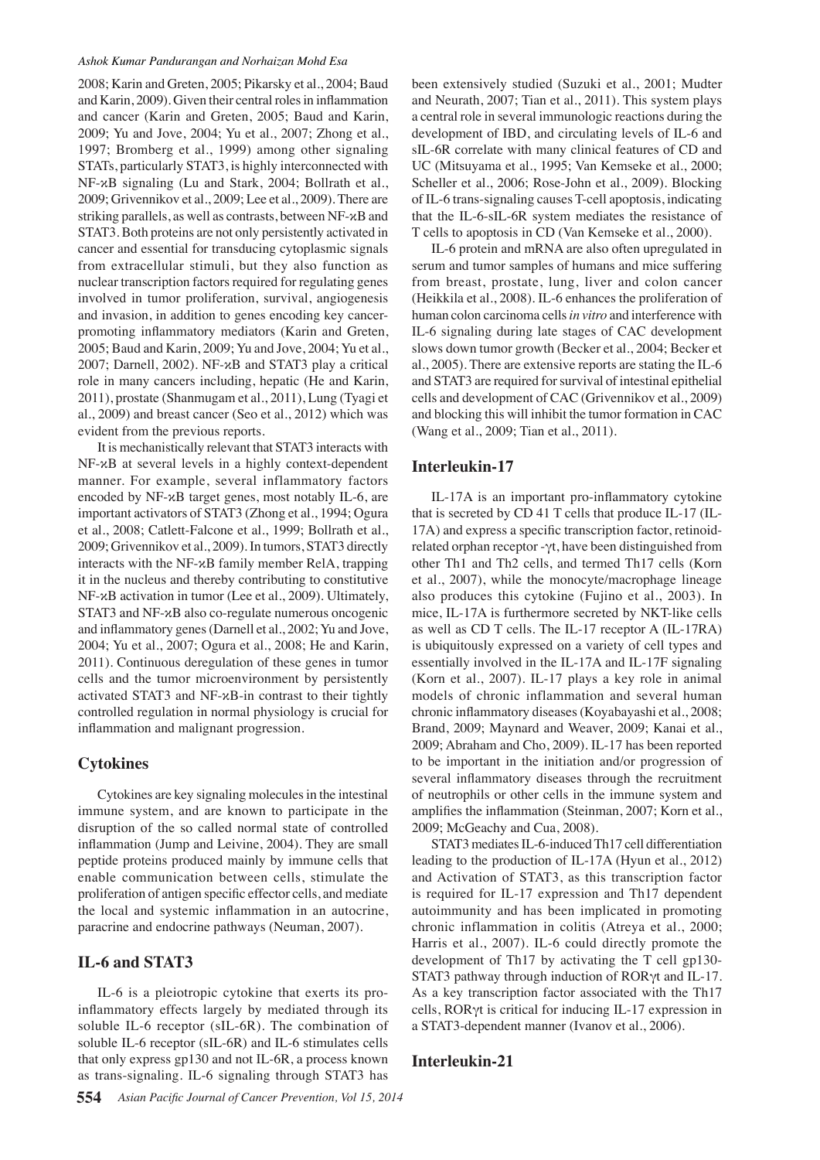2008; Karin and Greten, 2005; Pikarsky et al., 2004; Baud and Karin, 2009). Given their central roles in inflammation and cancer (Karin and Greten, 2005; Baud and Karin, 2009; Yu and Jove, 2004; Yu et al., 2007; Zhong et al., 1997; Bromberg et al., 1999) among other signaling STATs, particularly STAT3, is highly interconnected with NF-κB signaling (Lu and Stark, 2004; Bollrath et al., 2009; Grivennikov et al., 2009; Lee et al., 2009). There are striking parallels, as well as contrasts, between NF-κB and STAT3. Both proteins are not only persistently activated in cancer and essential for transducing cytoplasmic signals from extracellular stimuli, but they also function as nuclear transcription factors required for regulating genes involved in tumor proliferation, survival, angiogenesis and invasion, in addition to genes encoding key cancerpromoting inflammatory mediators (Karin and Greten, 2005; Baud and Karin, 2009; Yu and Jove, 2004; Yu et al., 2007; Darnell, 2002). NF-κB and STAT3 play a critical role in many cancers including, hepatic (He and Karin, 2011), prostate (Shanmugam et al., 2011), Lung (Tyagi et al., 2009) and breast cancer (Seo et al., 2012) which was evident from the previous reports.

It is mechanistically relevant that STAT3 interacts with NF-κB at several levels in a highly context-dependent manner. For example, several inflammatory factors encoded by NF-κB target genes, most notably IL-6, are important activators of STAT3 (Zhong et al., 1994; Ogura et al., 2008; Catlett-Falcone et al., 1999; Bollrath et al., 2009; Grivennikov et al., 2009). In tumors, STAT3 directly interacts with the NF-κB family member RelA, trapping it in the nucleus and thereby contributing to constitutive NF-κB activation in tumor (Lee et al., 2009). Ultimately, STAT3 and NF-κB also co-regulate numerous oncogenic and inflammatory genes (Darnell et al., 2002; Yu and Jove, 2004; Yu et al., 2007; Ogura et al., 2008; He and Karin, 2011). Continuous deregulation of these genes in tumor cells and the tumor microenvironment by persistently activated STAT3 and NF-κB-in contrast to their tightly controlled regulation in normal physiology is crucial for inflammation and malignant progression.

## **Cytokines**

Cytokines are key signaling molecules in the intestinal immune system, and are known to participate in the disruption of the so called normal state of controlled inflammation (Jump and Leivine, 2004). They are small peptide proteins produced mainly by immune cells that enable communication between cells, stimulate the proliferation of antigen specific effector cells, and mediate the local and systemic inflammation in an autocrine, paracrine and endocrine pathways (Neuman, 2007).

# **IL-6 and STAT3**

IL-6 is a pleiotropic cytokine that exerts its proinflammatory effects largely by mediated through its soluble IL-6 receptor (sIL-6R). The combination of soluble IL-6 receptor (sIL-6R) and IL-6 stimulates cells that only express gp130 and not IL-6R, a process known as trans-signaling. IL-6 signaling through STAT3 has been extensively studied (Suzuki et al., 2001; Mudter and Neurath, 2007; Tian et al., 2011). This system plays a central role in several immunologic reactions during the development of IBD, and circulating levels of IL-6 and sIL-6R correlate with many clinical features of CD and UC (Mitsuyama et al., 1995; Van Kemseke et al., 2000; Scheller et al., 2006; Rose-John et al., 2009). Blocking of IL-6 trans-signaling causes T-cell apoptosis, indicating that the IL-6-sIL-6R system mediates the resistance of T cells to apoptosis in CD (Van Kemseke et al., 2000).

IL-6 protein and mRNA are also often upregulated in serum and tumor samples of humans and mice suffering from breast, prostate, lung, liver and colon cancer (Heikkila et al., 2008). IL-6 enhances the proliferation of human colon carcinoma cells *in vitro* and interference with IL-6 signaling during late stages of CAC development slows down tumor growth (Becker et al., 2004; Becker et al., 2005). There are extensive reports are stating the IL-6 and STAT3 are required for survival of intestinal epithelial cells and development of CAC (Grivennikov et al., 2009) and blocking this will inhibit the tumor formation in CAC (Wang et al., 2009; Tian et al., 2011).

## **Interleukin-17**

IL-17A is an important pro-inflammatory cytokine that is secreted by CD 41 T cells that produce IL-17 (IL-17A) and express a specific transcription factor, retinoidrelated orphan receptor -γt, have been distinguished from other Th1 and Th2 cells, and termed Th17 cells (Korn et al., 2007), while the monocyte/macrophage lineage also produces this cytokine (Fujino et al., 2003). In mice, IL-17A is furthermore secreted by NKT-like cells as well as CD T cells. The IL-17 receptor A (IL-17RA) is ubiquitously expressed on a variety of cell types and essentially involved in the IL-17A and IL-17F signaling (Korn et al., 2007). IL-17 plays a key role in animal models of chronic inflammation and several human chronic inflammatory diseases (Koyabayashi et al., 2008; Brand, 2009; Maynard and Weaver, 2009; Kanai et al., 2009; Abraham and Cho, 2009). IL-17 has been reported to be important in the initiation and/or progression of several inflammatory diseases through the recruitment of neutrophils or other cells in the immune system and amplifies the inflammation (Steinman, 2007; Korn et al., 2009; McGeachy and Cua, 2008).

STAT3 mediates IL-6-induced Th17 cell differentiation leading to the production of IL-17A (Hyun et al., 2012) and Activation of STAT3, as this transcription factor is required for IL-17 expression and Th17 dependent autoimmunity and has been implicated in promoting chronic inflammation in colitis (Atreya et al., 2000; Harris et al., 2007). IL-6 could directly promote the development of Th17 by activating the T cell gp130- STAT3 pathway through induction of RORγt and IL-17. As a key transcription factor associated with the Th17 cells, RORγt is critical for inducing IL-17 expression in a STAT3-dependent manner (Ivanov et al., 2006).

# **Interleukin-21**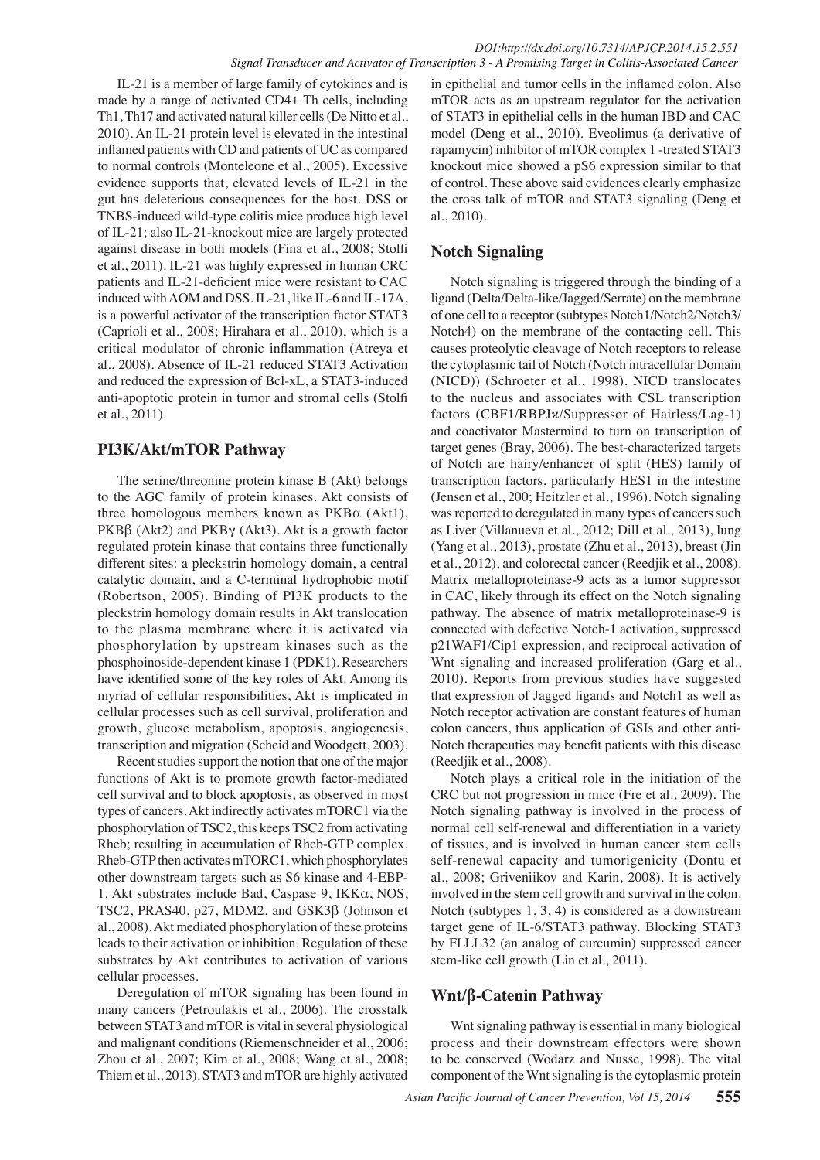IL-21 is a member of large family of cytokines and is made by a range of activated CD4+ Th cells, including Th1, Th17 and activated natural killer cells (De Nitto et al., 2010). An IL-21 protein level is elevated in the intestinal inflamed patients with CD and patients of UC as compared to normal controls (Monteleone et al., 2005). Excessive evidence supports that, elevated levels of IL-21 in the gut has deleterious consequences for the host. DSS or TNBS-induced wild-type colitis mice produce high level of IL-21; also IL-21-knockout mice are largely protected against disease in both models (Fina et al., 2008; Stolfi et al., 2011). IL-21 was highly expressed in human CRC patients and IL-21-deficient mice were resistant to CAC induced with AOM and DSS. IL-21, like IL-6 and IL-17A, is a powerful activator of the transcription factor STAT3 (Caprioli et al., 2008; Hirahara et al., 2010), which is a critical modulator of chronic inflammation (Atreya et al., 2008). Absence of IL-21 reduced STAT3 Activation and reduced the expression of Bcl-xL, a STAT3-induced anti-apoptotic protein in tumor and stromal cells (Stolfi et al., 2011).

# **PI3K/Akt/mTOR Pathway**

The serine/threonine protein kinase B (Akt) belongs to the AGC family of protein kinases. Akt consists of three homologous members known as  $PKB\alpha$  (Akt1), PKBβ (Akt2) and PKB $γ$  (Akt3). Akt is a growth factor regulated protein kinase that contains three functionally different sites: a pleckstrin homology domain, a central catalytic domain, and a C-terminal hydrophobic motif (Robertson, 2005). Binding of PI3K products to the pleckstrin homology domain results in Akt translocation to the plasma membrane where it is activated via phosphorylation by upstream kinases such as the phosphoinoside-dependent kinase 1 (PDK1). Researchers have identified some of the key roles of Akt. Among its myriad of cellular responsibilities, Akt is implicated in cellular processes such as cell survival, proliferation and growth, glucose metabolism, apoptosis, angiogenesis, transcription and migration (Scheid and Woodgett, 2003).

Recent studies support the notion that one of the major functions of Akt is to promote growth factor-mediated cell survival and to block apoptosis, as observed in most types of cancers. Akt indirectly activates mTORC1 via the phosphorylation of TSC2, this keeps TSC2 from activating Rheb; resulting in accumulation of Rheb-GTP complex. Rheb-GTP then activates mTORC1, which phosphorylates other downstream targets such as S6 kinase and 4-EBP-1. Akt substrates include Bad, Caspase 9, IKKα, NOS, TSC2, PRAS40, p27, MDM2, and GSK3β (Johnson et al., 2008). Akt mediated phosphorylation of these proteins leads to their activation or inhibition. Regulation of these substrates by Akt contributes to activation of various cellular processes.

Deregulation of mTOR signaling has been found in many cancers (Petroulakis et al., 2006). The crosstalk between STAT3 and mTOR is vital in several physiological and malignant conditions (Riemenschneider et al., 2006; Zhou et al., 2007; Kim et al., 2008; Wang et al., 2008; Thiem et al., 2013). STAT3 and mTOR are highly activated

in epithelial and tumor cells in the inflamed colon. Also mTOR acts as an upstream regulator for the activation of STAT3 in epithelial cells in the human IBD and CAC model (Deng et al., 2010). Eveolimus (a derivative of rapamycin) inhibitor of mTOR complex 1 -treated STAT3 knockout mice showed a pS6 expression similar to that of control. These above said evidences clearly emphasize the cross talk of mTOR and STAT3 signaling (Deng et al., 2010).

# **Notch Signaling**

Notch signaling is triggered through the binding of a ligand (Delta/Delta-like/Jagged/Serrate) on the membrane of one cell to a receptor (subtypes Notch1/Notch2/Notch3/ Notch4) on the membrane of the contacting cell. This causes proteolytic cleavage of Notch receptors to release the cytoplasmic tail of Notch (Notch intracellular Domain (NICD)) (Schroeter et al., 1998). NICD translocates to the nucleus and associates with CSL transcription factors (CBF1/RBPJκ/Suppressor of Hairless/Lag-1) and coactivator Mastermind to turn on transcription of target genes (Bray, 2006). The best-characterized targets of Notch are hairy/enhancer of split (HES) family of transcription factors, particularly HES1 in the intestine (Jensen et al., 200; Heitzler et al., 1996). Notch signaling was reported to deregulated in many types of cancers such as Liver (Villanueva et al., 2012; Dill et al., 2013), lung (Yang et al., 2013), prostate (Zhu et al., 2013), breast (Jin et al., 2012), and colorectal cancer (Reedjik et al., 2008). Matrix metalloproteinase-9 acts as a tumor suppressor in CAC, likely through its effect on the Notch signaling pathway. The absence of matrix metalloproteinase-9 is connected with defective Notch-1 activation, suppressed p21WAF1/Cip1 expression, and reciprocal activation of Wnt signaling and increased proliferation (Garg et al., 2010). Reports from previous studies have suggested that expression of Jagged ligands and Notch1 as well as Notch receptor activation are constant features of human colon cancers, thus application of GSIs and other anti-Notch therapeutics may benefit patients with this disease (Reedjik et al., 2008).

Notch plays a critical role in the initiation of the CRC but not progression in mice (Fre et al., 2009). The Notch signaling pathway is involved in the process of normal cell self-renewal and differentiation in a variety of tissues, and is involved in human cancer stem cells self-renewal capacity and tumorigenicity (Dontu et al., 2008; Griveniikov and Karin, 2008). It is actively involved in the stem cell growth and survival in the colon. Notch (subtypes 1, 3, 4) is considered as a downstream target gene of IL-6/STAT3 pathway. Blocking STAT3 by FLLL32 (an analog of curcumin) suppressed cancer stem-like cell growth (Lin et al., 2011).

# **Wnt/β-Catenin Pathway**

Wnt signaling pathway is essential in many biological process and their downstream effectors were shown to be conserved (Wodarz and Nusse, 1998). The vital component of the Wnt signaling is the cytoplasmic protein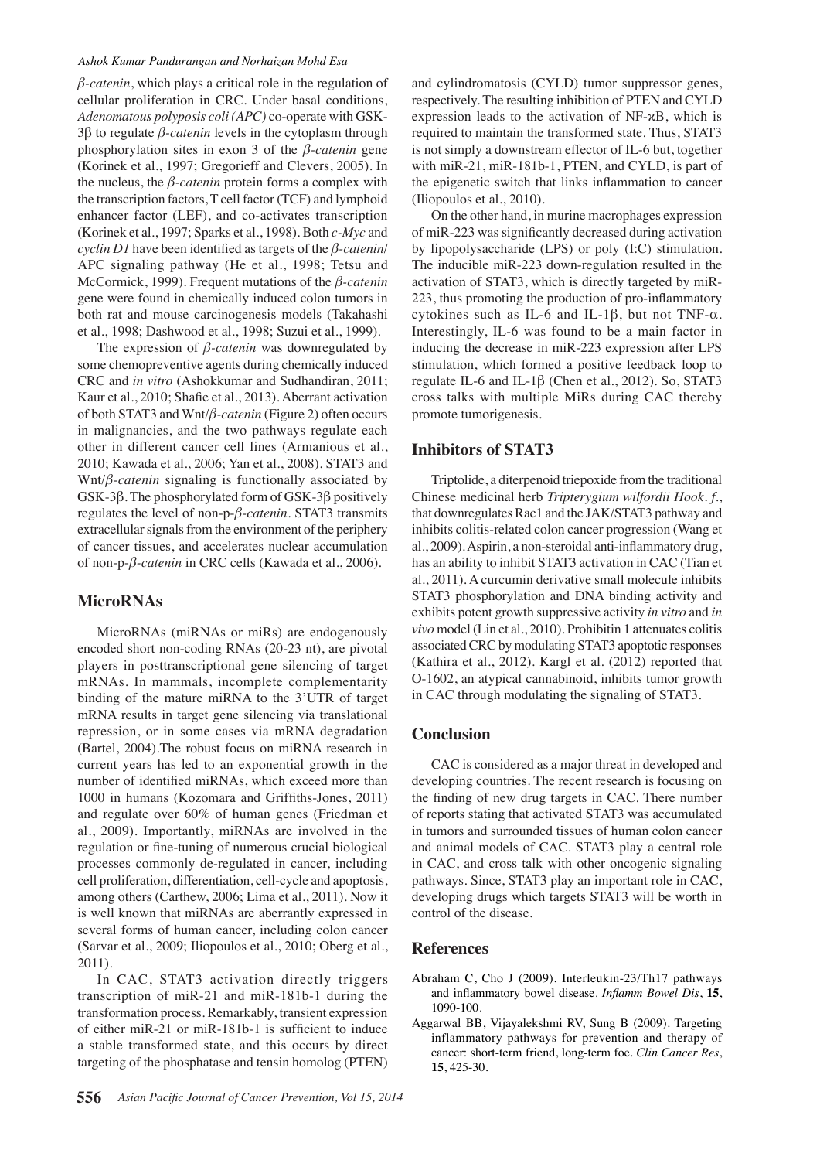*β-catenin*, which plays a critical role in the regulation of cellular proliferation in CRC. Under basal conditions, *Adenomatous polyposis coli (APC)* co-operate with GSK-3β to regulate *β-catenin* levels in the cytoplasm through phosphorylation sites in exon 3 of the *β-catenin* gene (Korinek et al., 1997; Gregorieff and Clevers, 2005). In the nucleus, the *β-catenin* protein forms a complex with the transcription factors, T cell factor (TCF) and lymphoid enhancer factor (LEF), and co-activates transcription (Korinek et al., 1997; Sparks et al., 1998). Both *c-Myc* and *cyclin D1* have been identified as targets of the *β-catenin*/ APC signaling pathway (He et al., 1998; Tetsu and McCormick, 1999). Frequent mutations of the *β-catenin* gene were found in chemically induced colon tumors in both rat and mouse carcinogenesis models (Takahashi et al., 1998; Dashwood et al., 1998; Suzui et al., 1999).

The expression of *β-catenin* was downregulated by some chemopreventive agents during chemically induced CRC and *in vitro* (Ashokkumar and Sudhandiran, 2011; Kaur et al., 2010; Shafie et al., 2013). Aberrant activation of both STAT3 and Wnt/*β-catenin* (Figure 2) often occurs in malignancies, and the two pathways regulate each other in different cancer cell lines (Armanious et al., 2010; Kawada et al., 2006; Yan et al., 2008). STAT3 and Wnt/*β-catenin* signaling is functionally associated by GSK-3β. The phosphorylated form of GSK-3β positively regulates the level of non-p-*β-catenin*. STAT3 transmits extracellular signals from the environment of the periphery of cancer tissues, and accelerates nuclear accumulation of non-p-*β-catenin* in CRC cells (Kawada et al., 2006).

## **MicroRNAs**

MicroRNAs (miRNAs or miRs) are endogenously encoded short non-coding RNAs (20-23 nt), are pivotal players in posttranscriptional gene silencing of target mRNAs. In mammals, incomplete complementarity binding of the mature miRNA to the 3'UTR of target mRNA results in target gene silencing via translational repression, or in some cases via mRNA degradation (Bartel, 2004).The robust focus on miRNA research in current years has led to an exponential growth in the number of identified miRNAs, which exceed more than 1000 in humans (Kozomara and Griffiths-Jones, 2011) and regulate over 60% of human genes (Friedman et al., 2009). Importantly, miRNAs are involved in the regulation or fine-tuning of numerous crucial biological processes commonly de-regulated in cancer, including cell proliferation, differentiation, cell-cycle and apoptosis, among others (Carthew, 2006; Lima et al., 2011). Now it is well known that miRNAs are aberrantly expressed in several forms of human cancer, including colon cancer (Sarvar et al., 2009; Iliopoulos et al., 2010; Oberg et al., 2011).

In CAC, STAT3 activation directly triggers transcription of miR-21 and miR-181b-1 during the transformation process. Remarkably, transient expression of either miR-21 or miR-181b-1 is sufficient to induce a stable transformed state, and this occurs by direct targeting of the phosphatase and tensin homolog (PTEN) and cylindromatosis (CYLD) tumor suppressor genes, respectively. The resulting inhibition of PTEN and CYLD expression leads to the activation of NF-κB, which is required to maintain the transformed state. Thus, STAT3 is not simply a downstream effector of IL-6 but, together with miR-21, miR-181b-1, PTEN, and CYLD, is part of the epigenetic switch that links inflammation to cancer (Iliopoulos et al., 2010).

On the other hand, in murine macrophages expression of miR-223 was significantly decreased during activation by lipopolysaccharide (LPS) or poly (I:C) stimulation. The inducible miR-223 down-regulation resulted in the activation of STAT3, which is directly targeted by miR-223, thus promoting the production of pro-inflammatory cytokines such as IL-6 and IL-1β, but not TNF-α. Interestingly, IL-6 was found to be a main factor in inducing the decrease in miR-223 expression after LPS stimulation, which formed a positive feedback loop to regulate IL-6 and IL-1β (Chen et al., 2012). So, STAT3 cross talks with multiple MiRs during CAC thereby promote tumorigenesis.

# **Inhibitors of STAT3**

Triptolide, a diterpenoid triepoxide from the traditional Chinese medicinal herb *Tripterygium wilfordii Hook. f*., that downregulates Rac1 and the JAK/STAT3 pathway and inhibits colitis-related colon cancer progression (Wang et al., 2009). Aspirin, a non-steroidal anti-inflammatory drug, has an ability to inhibit STAT3 activation in CAC (Tian et al., 2011). A curcumin derivative small molecule inhibits STAT3 phosphorylation and DNA binding activity and exhibits potent growth suppressive activity *in vitro* and *in vivo* model (Lin et al., 2010). Prohibitin 1 attenuates colitis associated CRC by modulating STAT3 apoptotic responses (Kathira et al., 2012). Kargl et al. (2012) reported that O-1602, an atypical cannabinoid, inhibits tumor growth in CAC through modulating the signaling of STAT3.

## **Conclusion**

CAC is considered as a major threat in developed and developing countries. The recent research is focusing on the finding of new drug targets in CAC. There number of reports stating that activated STAT3 was accumulated in tumors and surrounded tissues of human colon cancer and animal models of CAC. STAT3 play a central role in CAC, and cross talk with other oncogenic signaling pathways. Since, STAT3 play an important role in CAC, developing drugs which targets STAT3 will be worth in control of the disease.

## **References**

- Abraham C, Cho J (2009). Interleukin-23/Th17 pathways and inflammatory bowel disease. *Inflamm Bowel Dis*, **15**, 1090-100.
- Aggarwal BB, Vijayalekshmi RV, Sung B (2009). Targeting inflammatory pathways for prevention and therapy of cancer: short-term friend, long-term foe. *Clin Cancer Res*, **15**, 425-30.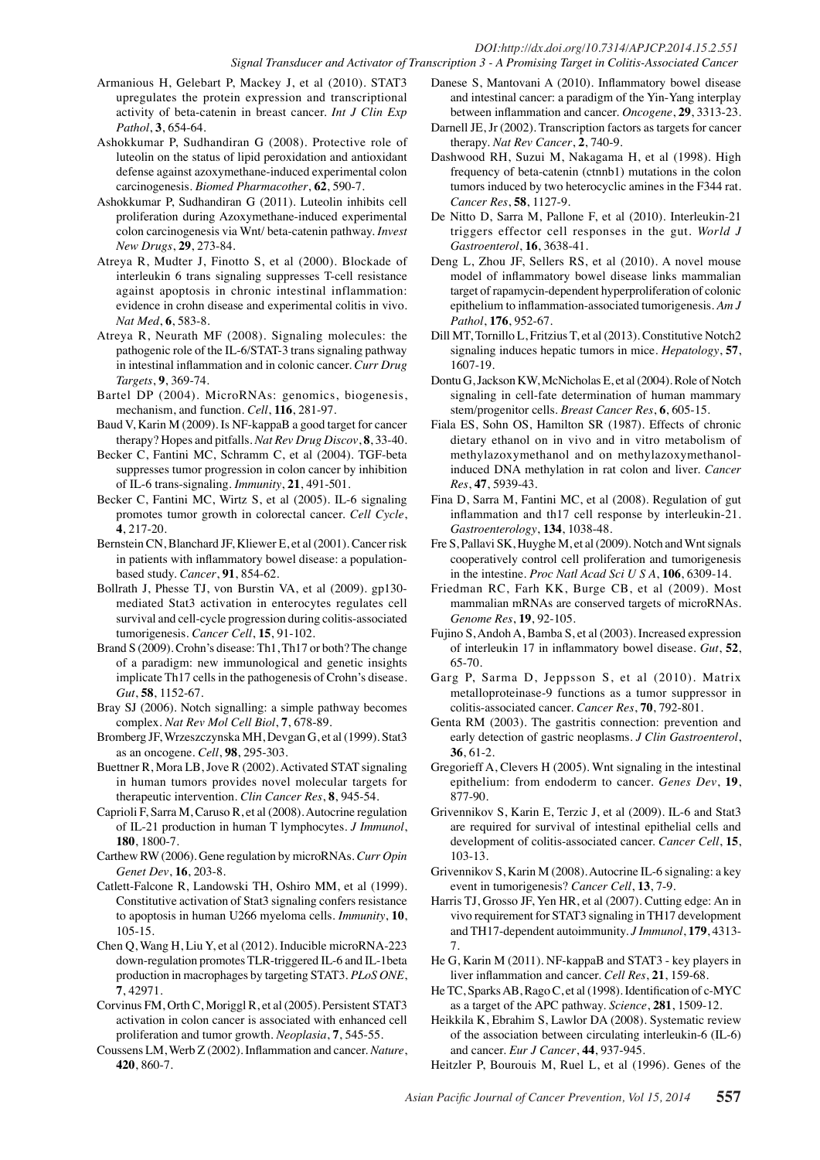#### *DOI:http://dx.doi.org/10.7314/APJCP.2014.15.2.551 Signal Transducer and Activator of Transcription 3 - A Promising Target in Colitis-Associated Cancer*

- Armanious H, Gelebart P, Mackey J, et al (2010). STAT3 upregulates the protein expression and transcriptional activity of beta-catenin in breast cancer. *Int J Clin Exp Pathol*, **3**, 654-64.
- Ashokkumar P, Sudhandiran G (2008). Protective role of luteolin on the status of lipid peroxidation and antioxidant defense against azoxymethane-induced experimental colon carcinogenesis. *Biomed Pharmacother*, **62**, 590-7.
- Ashokkumar P, Sudhandiran G (2011). Luteolin inhibits cell proliferation during Azoxymethane-induced experimental colon carcinogenesis via Wnt/ beta-catenin pathway. *Invest New Drugs*, **29**, 273-84.
- Atreya R, Mudter J, Finotto S, et al (2000). Blockade of interleukin 6 trans signaling suppresses T-cell resistance against apoptosis in chronic intestinal inflammation: evidence in crohn disease and experimental colitis in vivo. *Nat Med*, **6**, 583-8.
- Atreya R, Neurath MF (2008). Signaling molecules: the pathogenic role of the IL-6/STAT-3 trans signaling pathway in intestinal inflammation and in colonic cancer. *Curr Drug Targets*, **9**, 369-74.
- Bartel DP (2004). MicroRNAs: genomics, biogenesis, mechanism, and function. *Cell*, **116**, 281-97.
- Baud V, Karin M (2009). Is NF-kappaB a good target for cancer therapy? Hopes and pitfalls. *Nat Rev Drug Discov*, **8**, 33-40.
- Becker C, Fantini MC, Schramm C, et al (2004). TGF-beta suppresses tumor progression in colon cancer by inhibition of IL-6 trans-signaling. *Immunity*, **21**, 491-501.
- Becker C, Fantini MC, Wirtz S, et al (2005). IL-6 signaling promotes tumor growth in colorectal cancer. *Cell Cycle*, **4**, 217-20.
- Bernstein CN, Blanchard JF, Kliewer E, et al (2001). Cancer risk in patients with inflammatory bowel disease: a populationbased study. *Cancer*, **91**, 854-62.
- Bollrath J, Phesse TJ, von Burstin VA, et al (2009). gp130 mediated Stat3 activation in enterocytes regulates cell survival and cell-cycle progression during colitis-associated tumorigenesis. *Cancer Cell*, **15**, 91-102.
- Brand S (2009). Crohn's disease: Th1, Th17 or both? The change of a paradigm: new immunological and genetic insights implicate Th17 cells in the pathogenesis of Crohn's disease. *Gut*, **58**, 1152-67.
- Bray SJ (2006). Notch signalling: a simple pathway becomes complex. *Nat Rev Mol Cell Biol*, **7**, 678-89.
- Bromberg JF, Wrzeszczynska MH, Devgan G, et al (1999). Stat3 as an oncogene. *Cell*, **98**, 295-303.
- Buettner R, Mora LB, Jove R (2002). Activated STAT signaling in human tumors provides novel molecular targets for therapeutic intervention. *Clin Cancer Res*, **8**, 945-54.
- Caprioli F, Sarra M, Caruso R, et al (2008). Autocrine regulation of IL-21 production in human T lymphocytes. *J Immunol*, **180**, 1800-7.
- Carthew RW (2006). Gene regulation by microRNAs. *Curr Opin Genet Dev*, **16**, 203-8.
- Catlett-Falcone R, Landowski TH, Oshiro MM, et al (1999). Constitutive activation of Stat3 signaling confers resistance to apoptosis in human U266 myeloma cells. *Immunity*, **10**, 105-15.
- Chen Q, Wang H, Liu Y, et al (2012). Inducible microRNA-223 down-regulation promotes TLR-triggered IL-6 and IL-1beta production in macrophages by targeting STAT3. *PLoS ONE*, **7**, 42971.
- Corvinus FM, Orth C, Moriggl R, et al (2005). Persistent STAT3 activation in colon cancer is associated with enhanced cell proliferation and tumor growth. *Neoplasia*, **7**, 545-55.
- Coussens LM, Werb Z (2002). Inflammation and cancer. *Nature*, **420**, 860-7.
- Danese S, Mantovani A (2010). Inflammatory bowel disease and intestinal cancer: a paradigm of the Yin-Yang interplay between inflammation and cancer. *Oncogene*, **29**, 3313-23.
- Darnell JE, Jr (2002). Transcription factors as targets for cancer therapy. *Nat Rev Cancer*, **2**, 740-9.
- Dashwood RH, Suzui M, Nakagama H, et al (1998). High frequency of beta-catenin (ctnnb1) mutations in the colon tumors induced by two heterocyclic amines in the F344 rat. *Cancer Res*, **58**, 1127-9.
- De Nitto D, Sarra M, Pallone F, et al (2010). Interleukin-21 triggers effector cell responses in the gut. *World J Gastroenterol*, **16**, 3638-41.
- Deng L, Zhou JF, Sellers RS, et al (2010). A novel mouse model of inflammatory bowel disease links mammalian target of rapamycin-dependent hyperproliferation of colonic epithelium to inflammation-associated tumorigenesis. *Am J Pathol*, **176**, 952-67.
- Dill MT, Tornillo L, Fritzius T, et al (2013). Constitutive Notch2 signaling induces hepatic tumors in mice. *Hepatology*, **57**, 1607-19.
- Dontu G, Jackson KW, McNicholas E, et al (2004). Role of Notch signaling in cell-fate determination of human mammary stem/progenitor cells. *Breast Cancer Res*, **6**, 605-15.
- Fiala ES, Sohn OS, Hamilton SR (1987). Effects of chronic dietary ethanol on in vivo and in vitro metabolism of methylazoxymethanol and on methylazoxymethanolinduced DNA methylation in rat colon and liver. *Cancer Res*, **47**, 5939-43.
- Fina D, Sarra M, Fantini MC, et al (2008). Regulation of gut inflammation and th17 cell response by interleukin-21. *Gastroenterology*, **134**, 1038-48.
- Fre S, Pallavi SK, Huyghe M, et al (2009). Notch and Wnt signals cooperatively control cell proliferation and tumorigenesis in the intestine. *Proc Natl Acad Sci U S A*, **106**, 6309-14.
- Friedman RC, Farh KK, Burge CB, et al (2009). Most mammalian mRNAs are conserved targets of microRNAs. *Genome Res*, **19**, 92-105.
- Fujino S, Andoh A, Bamba S, et al (2003). Increased expression of interleukin 17 in inflammatory bowel disease. *Gut*, **52**, 65-70.
- Garg P, Sarma D, Jeppsson S, et al (2010). Matrix metalloproteinase-9 functions as a tumor suppressor in colitis-associated cancer. *Cancer Res*, **70**, 792-801.
- Genta RM (2003). The gastritis connection: prevention and early detection of gastric neoplasms. *J Clin Gastroenterol*, **36**, 61-2.
- Gregorieff A, Clevers H (2005). Wnt signaling in the intestinal epithelium: from endoderm to cancer. *Genes Dev*, **19**, 877-90.
- Grivennikov S, Karin E, Terzic J, et al (2009). IL-6 and Stat3 are required for survival of intestinal epithelial cells and development of colitis-associated cancer. *Cancer Cell*, **15**, 103-13.
- Grivennikov S, Karin M (2008). Autocrine IL-6 signaling: a key event in tumorigenesis? *Cancer Cell*, **13**, 7-9.
- Harris TJ, Grosso JF, Yen HR, et al (2007). Cutting edge: An in vivo requirement for STAT3 signaling in TH17 development and TH17-dependent autoimmunity. *J Immunol*, **179**, 4313- 7.
- He G, Karin M (2011). NF-kappaB and STAT3 key players in liver inflammation and cancer. *Cell Res*, **21**, 159-68.
- He TC, Sparks AB, Rago C, et al (1998). Identification of c-MYC as a target of the APC pathway. *Science*, **281**, 1509-12.
- Heikkila K, Ebrahim S, Lawlor DA (2008). Systematic review of the association between circulating interleukin-6 (IL-6) and cancer. *Eur J Cancer*, **44**, 937-945.
- Heitzler P, Bourouis M, Ruel L, et al (1996). Genes of the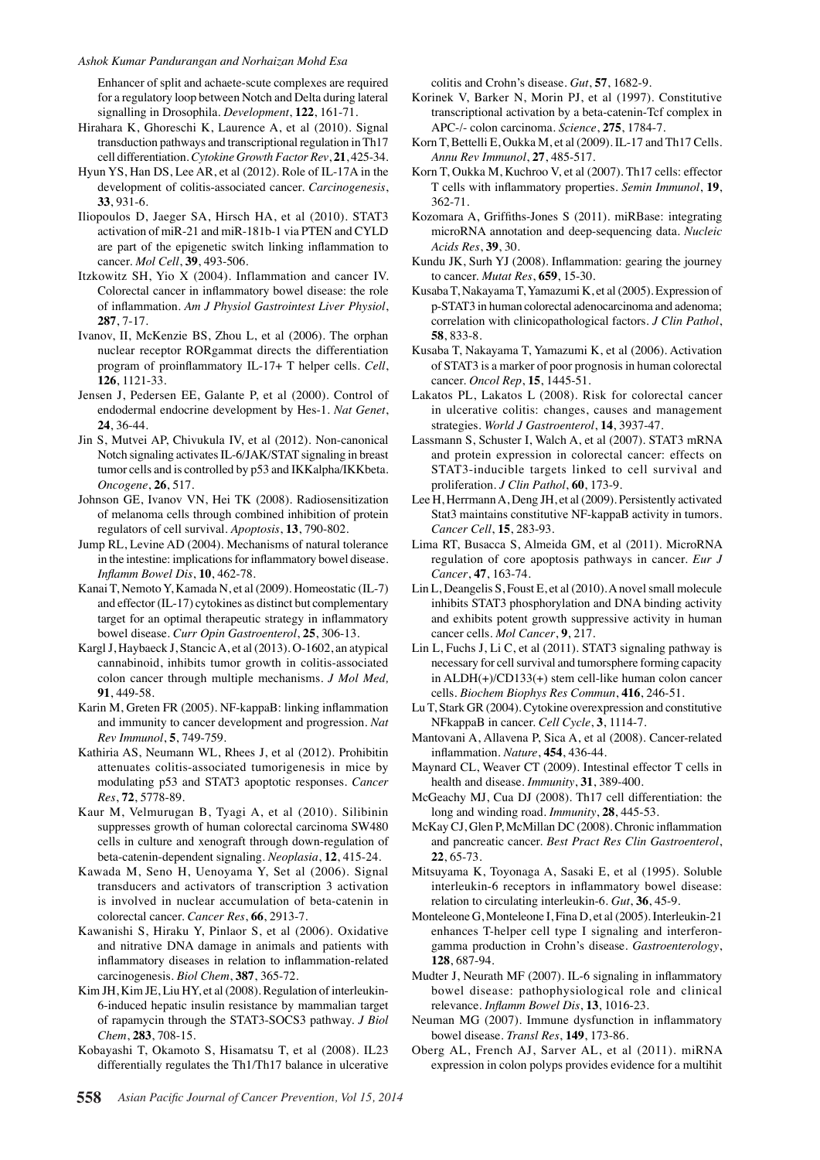Enhancer of split and achaete-scute complexes are required for a regulatory loop between Notch and Delta during lateral signalling in Drosophila. *Development*, **122**, 161-71.

- Hirahara K, Ghoreschi K, Laurence A, et al (2010). Signal transduction pathways and transcriptional regulation in Th17 cell differentiation. *Cytokine Growth Factor Rev*, **21**, 425-34.
- Hyun YS, Han DS, Lee AR, et al (2012). Role of IL-17A in the development of colitis-associated cancer. *Carcinogenesis*, **33**, 931-6.
- Iliopoulos D, Jaeger SA, Hirsch HA, et al (2010). STAT3 activation of miR-21 and miR-181b-1 via PTEN and CYLD are part of the epigenetic switch linking inflammation to cancer. *Mol Cell*, **39**, 493-506.
- Itzkowitz SH, Yio X (2004). Inflammation and cancer IV. Colorectal cancer in inflammatory bowel disease: the role of inflammation. *Am J Physiol Gastrointest Liver Physiol*, **287**, 7-17.
- Ivanov, II, McKenzie BS, Zhou L, et al (2006). The orphan nuclear receptor RORgammat directs the differentiation program of proinflammatory IL-17+ T helper cells. *Cell*, **126**, 1121-33.
- Jensen J, Pedersen EE, Galante P, et al (2000). Control of endodermal endocrine development by Hes-1. *Nat Genet*, **24**, 36-44.
- Jin S, Mutvei AP, Chivukula IV, et al (2012). Non-canonical Notch signaling activates IL-6/JAK/STAT signaling in breast tumor cells and is controlled by p53 and IKKalpha/IKKbeta. *Oncogene*, **26**, 517.
- Johnson GE, Ivanov VN, Hei TK (2008). Radiosensitization of melanoma cells through combined inhibition of protein regulators of cell survival. *Apoptosis*, **13**, 790-802.
- Jump RL, Levine AD (2004). Mechanisms of natural tolerance in the intestine: implications for inflammatory bowel disease. *Inflamm Bowel Dis*, **10**, 462-78.
- Kanai T, Nemoto Y, Kamada N, et al (2009). Homeostatic (IL-7) and effector (IL-17) cytokines as distinct but complementary target for an optimal therapeutic strategy in inflammatory bowel disease. *Curr Opin Gastroenterol*, **25**, 306-13.
- Kargl J, Haybaeck J, Stancic A, et al (2013). O-1602, an atypical cannabinoid, inhibits tumor growth in colitis-associated colon cancer through multiple mechanisms. *J Mol Med,*  **91**, 449-58.
- Karin M, Greten FR (2005). NF-kappaB: linking inflammation and immunity to cancer development and progression. *Nat Rev Immunol*, **5**, 749-759.
- Kathiria AS, Neumann WL, Rhees J, et al (2012). Prohibitin attenuates colitis-associated tumorigenesis in mice by modulating p53 and STAT3 apoptotic responses. *Cancer Res*, **72**, 5778-89.
- Kaur M, Velmurugan B, Tyagi A, et al (2010). Silibinin suppresses growth of human colorectal carcinoma SW480 cells in culture and xenograft through down-regulation of beta-catenin-dependent signaling. *Neoplasia*, **12**, 415-24.
- Kawada M, Seno H, Uenoyama Y, Set al (2006). Signal transducers and activators of transcription 3 activation is involved in nuclear accumulation of beta-catenin in colorectal cancer. *Cancer Res*, **66**, 2913-7.
- Kawanishi S, Hiraku Y, Pinlaor S, et al (2006). Oxidative and nitrative DNA damage in animals and patients with inflammatory diseases in relation to inflammation-related carcinogenesis. *Biol Chem*, **387**, 365-72.
- Kim JH, Kim JE, Liu HY, et al (2008). Regulation of interleukin-6-induced hepatic insulin resistance by mammalian target of rapamycin through the STAT3-SOCS3 pathway. *J Biol Chem*, **283**, 708-15.
- Kobayashi T, Okamoto S, Hisamatsu T, et al (2008). IL23 differentially regulates the Th1/Th17 balance in ulcerative

colitis and Crohn's disease. *Gut*, **57**, 1682-9.

- Korinek V, Barker N, Morin PJ, et al (1997). Constitutive transcriptional activation by a beta-catenin-Tcf complex in APC-/- colon carcinoma. *Science*, **275**, 1784-7.
- Korn T, Bettelli E, Oukka M, et al (2009). IL-17 and Th17 Cells. *Annu Rev Immunol*, **27**, 485-517.
- Korn T, Oukka M, Kuchroo V, et al (2007). Th17 cells: effector T cells with inflammatory properties. *Semin Immunol*, **19**, 362-71.
- 100.0 100.0 Kozomara A, Griffiths-Jones S (2011). miRBase: integrating microRNA annotation and deep-sequencing data. *Nucleic Acids Res*, **39**, 30.
- Kundu JK, Surh YJ (2008). Inflammation: gearing the journey to cancer. *Mutat Res*, **659**, 15-30.
- p-STAT3 in human colorectal adenocarcinoma and adenoma;75.0 Kusaba T, Nakayama T, Yamazumi K, et al (2005). Expression of correlation with clinicopathological factors. *J Clin Pathol*, **58**, 833-8.
- of STAT3 is a marker of poor prognosis in human colorectal<sup>50.0</sup> Kusaba T, Nakayama T, Yamazumi K, et al (2006). Activation cancer. *Oncol Rep*, **15**, 1445-51.
- 25.0 25.0 Lakatos PL, Lakatos L (2008). Risk for colorectal cancer in ulcerative colitis: changes, causes and management strategies. *World J Gastroenterol*, **14**, 3937-47.
- Lassmann S, Schuster I, Walch A, et al (2007). STAT3 mRNA and protein expression in colorectal cancer: effects on STAT3-inducible targets linked to cell survival and proliferation. *J Clin Pathol*, **60**, 173-9.
- Lee H, Herrmann A, Deng JH, et al (2009). Persistently activated Stat3 maintains constitutive NF-kappaB activity in tumors. *Cancer Cell*, **15**, 283-93.
- Lima RT, Busacca S, Almeida GM, et al (2011). MicroRNA regulation of core apoptosis pathways in cancer. *Eur J Cancer*, **47**, 163-74.
- Lin L, Deangelis S, Foust E, et al (2010). A novel small molecule inhibits STAT3 phosphorylation and DNA binding activity and exhibits potent growth suppressive activity in human cancer cells. *Mol Cancer*, **9**, 217.
- Lin L, Fuchs J, Li C, et al (2011). STAT3 signaling pathway is necessary for cell survival and tumorsphere forming capacity in ALDH(+)/CD133(+) stem cell-like human colon cancer cells. *Biochem Biophys Res Commun*, **416**, 246-51.
- Lu T, Stark GR (2004). Cytokine overexpression and constitutive NFkappaB in cancer. *Cell Cycle*, **3**, 1114-7.
- Mantovani A, Allavena P, Sica A, et al (2008). Cancer-related inflammation. *Nature*, **454**, 436-44.
- Maynard CL, Weaver CT (2009). Intestinal effector T cells in health and disease. *Immunity*, **31**, 389-400.
- McGeachy MJ, Cua DJ (2008). Th17 cell differentiation: the long and winding road. *Immunity*, **28**, 445-53.
- McKay CJ, Glen P, McMillan DC (2008). Chronic inflammation and pancreatic cancer. *Best Pract Res Clin Gastroenterol*, **22**, 65-73.
- Mitsuyama K, Toyonaga A, Sasaki E, et al (1995). Soluble interleukin-6 receptors in inflammatory bowel disease: relation to circulating interleukin-6. *Gut*, **36**, 45-9.
- Monteleone G, Monteleone I, Fina D, et al (2005). Interleukin-21 enhances T-helper cell type I signaling and interferongamma production in Crohn's disease. *Gastroenterology*, **128**, 687-94.
- Mudter J, Neurath MF (2007). IL-6 signaling in inflammatory bowel disease: pathophysiological role and clinical relevance. *Inflamm Bowel Dis*, **13**, 1016-23.
- Neuman MG (2007). Immune dysfunction in inflammatory bowel disease. *Transl Res*, **149**, 173-86.
- Oberg AL, French AJ, Sarver AL, et al (2011). miRNA expression in colon polyps provides evidence for a multihit

**46.8 56.3 46.856.3**

**20.3 6.3 10.1**

0 0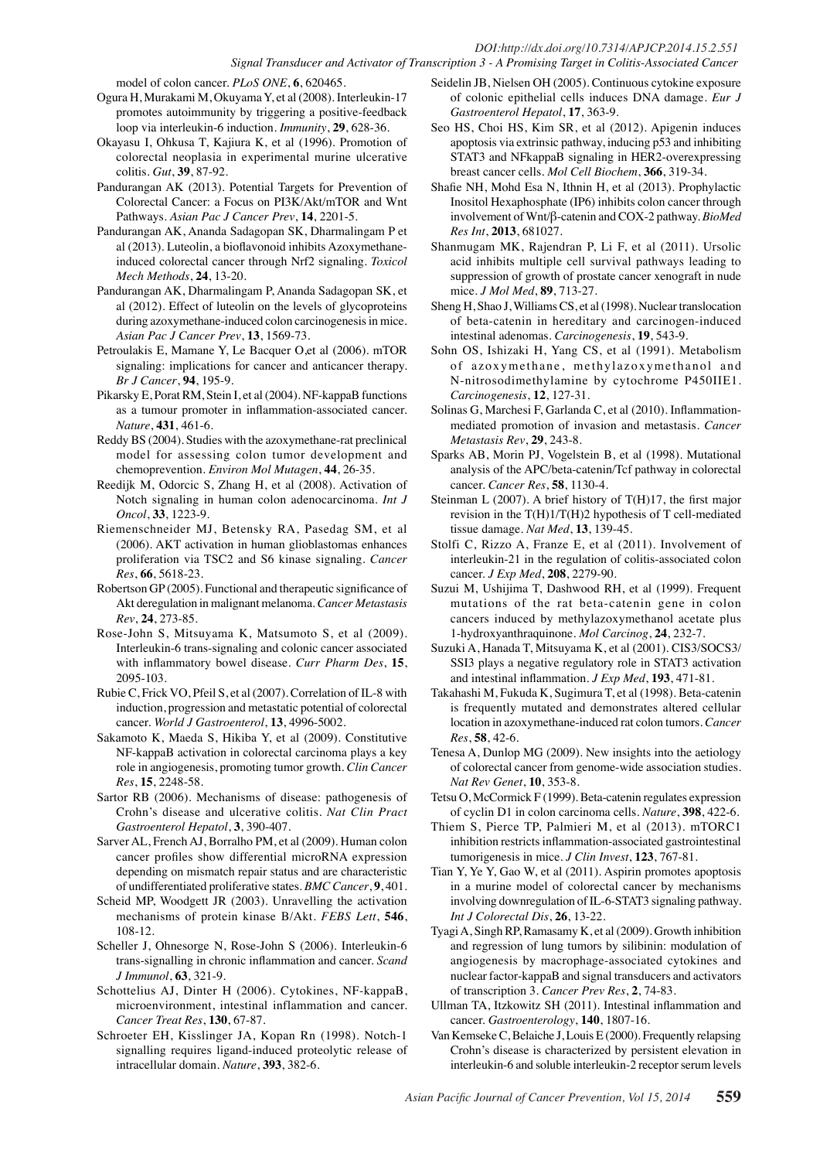model of colon cancer. *PLoS ONE*, **6**, 620465.

- Ogura H, Murakami M, Okuyama Y, et al (2008). Interleukin-17 promotes autoimmunity by triggering a positive-feedback loop via interleukin-6 induction. *Immunity*, **29**, 628-36.
- Okayasu I, Ohkusa T, Kajiura K, et al (1996). Promotion of colorectal neoplasia in experimental murine ulcerative colitis. *Gut*, **39**, 87-92.
- Pandurangan AK (2013). Potential Targets for Prevention of Colorectal Cancer: a Focus on PI3K/Akt/mTOR and Wnt Pathways. *Asian Pac J Cancer Prev*, **14**, 2201-5.
- Pandurangan AK, Ananda Sadagopan SK, Dharmalingam P et al (2013). Luteolin, a bioflavonoid inhibits Azoxymethaneinduced colorectal cancer through Nrf2 signaling. *Toxicol Mech Methods*, **24**, 13-20.
- Pandurangan AK, Dharmalingam P, Ananda Sadagopan SK, et al (2012). Effect of luteolin on the levels of glycoproteins during azoxymethane-induced colon carcinogenesis in mice. *Asian Pac J Cancer Prev*, **13**, 1569-73.
- Petroulakis E, Mamane Y, Le Bacquer O,et al (2006). mTOR signaling: implications for cancer and anticancer therapy. *Br J Cancer*, **94**, 195-9.
- Pikarsky E, Porat RM, Stein I, et al (2004). NF-kappaB functions as a tumour promoter in inflammation-associated cancer. *Nature*, **431**, 461-6.
- Reddy BS (2004). Studies with the azoxymethane-rat preclinical model for assessing colon tumor development and chemoprevention. *Environ Mol Mutagen*, **44**, 26-35.
- Reedijk M, Odorcic S, Zhang H, et al (2008). Activation of Notch signaling in human colon adenocarcinoma. *Int J Oncol*, **33**, 1223-9.
- Riemenschneider MJ, Betensky RA, Pasedag SM, et al (2006). AKT activation in human glioblastomas enhances proliferation via TSC2 and S6 kinase signaling. *Cancer Res*, **66**, 5618-23.
- Robertson GP (2005). Functional and therapeutic significance of Akt deregulation in malignant melanoma. *Cancer Metastasis Rev*, **24**, 273-85.
- Rose-John S, Mitsuyama K, Matsumoto S, et al (2009). Interleukin-6 trans-signaling and colonic cancer associated with inflammatory bowel disease. *Curr Pharm Des*, **15**, 2095-103.
- Rubie C, Frick VO, Pfeil S, et al (2007). Correlation of IL-8 with induction, progression and metastatic potential of colorectal cancer. *World J Gastroenterol*, **13**, 4996-5002.
- Sakamoto K, Maeda S, Hikiba Y, et al (2009). Constitutive NF-kappaB activation in colorectal carcinoma plays a key role in angiogenesis, promoting tumor growth. *Clin Cancer Res*, **15**, 2248-58.
- Sartor RB (2006). Mechanisms of disease: pathogenesis of Crohn's disease and ulcerative colitis. *Nat Clin Pract Gastroenterol Hepatol*, **3**, 390-407.
- Sarver AL, French AJ, Borralho PM, et al (2009). Human colon cancer profiles show differential microRNA expression depending on mismatch repair status and are characteristic of undifferentiated proliferative states. *BMC Cancer*, **9**, 401.
- Scheid MP, Woodgett JR (2003). Unravelling the activation mechanisms of protein kinase B/Akt. *FEBS Lett*, **546**, 108-12.
- Scheller J, Ohnesorge N, Rose-John S (2006). Interleukin-6 trans-signalling in chronic inflammation and cancer. *Scand J Immunol*, **63**, 321-9.
- Schottelius AJ, Dinter H (2006). Cytokines, NF-kappaB, microenvironment, intestinal inflammation and cancer. *Cancer Treat Res*, **130**, 67-87.
- Schroeter EH, Kisslinger JA, Kopan Rn (1998). Notch-1 signalling requires ligand-induced proteolytic release of intracellular domain. *Nature*, **393**, 382-6.
- Seidelin JB, Nielsen OH (2005). Continuous cytokine exposure of colonic epithelial cells induces DNA damage. *Eur J Gastroenterol Hepatol*, **17**, 363-9.
- Seo HS, Choi HS, Kim SR, et al (2012). Apigenin induces apoptosis via extrinsic pathway, inducing p53 and inhibiting STAT3 and NFkappaB signaling in HER2-overexpressing breast cancer cells. *Mol Cell Biochem*, **366**, 319-34.
- Shafie NH, Mohd Esa N, Ithnin H, et al (2013). Prophylactic Inositol Hexaphosphate (IP6) inhibits colon cancer through involvement of Wnt/β-catenin and COX-2 pathway. *BioMed Res Int*, **2013**, 681027.
- Shanmugam MK, Rajendran P, Li F, et al (2011). Ursolic acid inhibits multiple cell survival pathways leading to suppression of growth of prostate cancer xenograft in nude mice. *J Mol Med*, **89**, 713-27.
- Sheng H, Shao J, Williams CS, et al (1998). Nuclear translocation of beta-catenin in hereditary and carcinogen-induced intestinal adenomas. *Carcinogenesis*, **19**, 543-9.
- Sohn OS, Ishizaki H, Yang CS, et al (1991). Metabolism of azoxymethane, methylazoxymethanol and N-nitrosodimethylamine by cytochrome P450IIE1. *Carcinogenesis*, **12**, 127-31.
- Solinas G, Marchesi F, Garlanda C, et al (2010). Inflammationmediated promotion of invasion and metastasis. *Cancer Metastasis Rev*, **29**, 243-8.
- Sparks AB, Morin PJ, Vogelstein B, et al (1998). Mutational analysis of the APC/beta-catenin/Tcf pathway in colorectal cancer. *Cancer Res*, **58**, 1130-4.
- Steinman L (2007). A brief history of T(H)17, the first major revision in the T(H)1/T(H)2 hypothesis of T cell-mediated tissue damage. *Nat Med*, **13**, 139-45.
- Stolfi C, Rizzo A, Franze E, et al (2011). Involvement of interleukin-21 in the regulation of colitis-associated colon cancer. *J Exp Med*, **208**, 2279-90.
- Suzui M, Ushijima T, Dashwood RH, et al (1999). Frequent mutations of the rat beta-catenin gene in colon cancers induced by methylazoxymethanol acetate plus 1-hydroxyanthraquinone. *Mol Carcinog*, **24**, 232-7.
- Suzuki A, Hanada T, Mitsuyama K, et al (2001). CIS3/SOCS3/ SSI3 plays a negative regulatory role in STAT3 activation and intestinal inflammation. *J Exp Med*, **193**, 471-81.
- Takahashi M, Fukuda K, Sugimura T, et al (1998). Beta-catenin is frequently mutated and demonstrates altered cellular location in azoxymethane-induced rat colon tumors. *Cancer Res*, **58**, 42-6.
- Tenesa A, Dunlop MG (2009). New insights into the aetiology of colorectal cancer from genome-wide association studies. *Nat Rev Genet*, **10**, 353-8.
- Tetsu O, McCormick F (1999). Beta-catenin regulates expression of cyclin D1 in colon carcinoma cells. *Nature*, **398**, 422-6.
- Thiem S, Pierce TP, Palmieri M, et al (2013). mTORC1 inhibition restricts inflammation-associated gastrointestinal tumorigenesis in mice. *J Clin Invest*, **123**, 767-81.
- Tian Y, Ye Y, Gao W, et al (2011). Aspirin promotes apoptosis in a murine model of colorectal cancer by mechanisms involving downregulation of IL-6-STAT3 signaling pathway. *Int J Colorectal Dis*, **26**, 13-22.
- Tyagi A, Singh RP, Ramasamy K, et al (2009). Growth inhibition and regression of lung tumors by silibinin: modulation of angiogenesis by macrophage-associated cytokines and nuclear factor-kappaB and signal transducers and activators of transcription 3. *Cancer Prev Res*, **2**, 74-83.
- Ullman TA, Itzkowitz SH (2011). Intestinal inflammation and cancer. *Gastroenterology*, **140**, 1807-16.
- Van Kemseke C, Belaiche J, Louis E (2000). Frequently relapsing Crohn's disease is characterized by persistent elevation in interleukin-6 and soluble interleukin-2 receptor serum levels